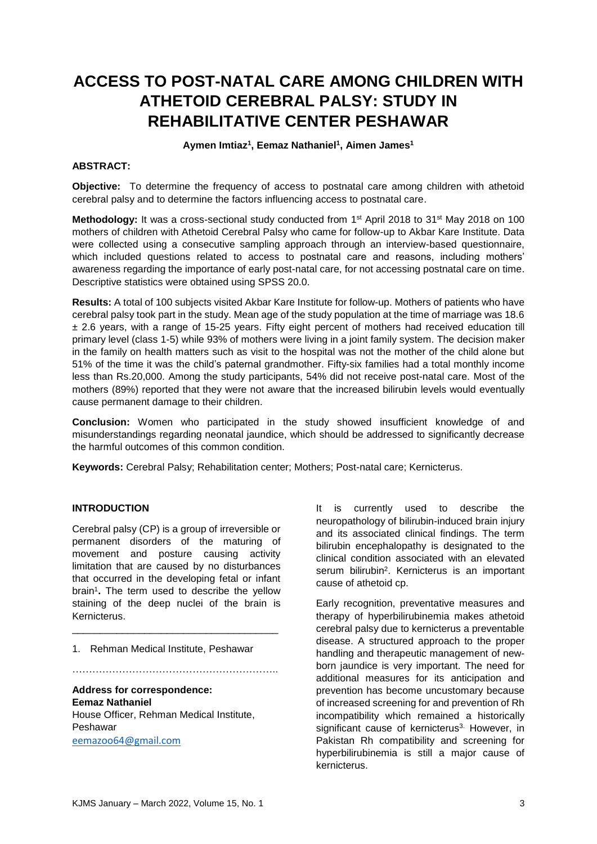# **ACCESS TO POST-NATAL CARE AMONG CHILDREN WITH ATHETOID CEREBRAL PALSY: STUDY IN REHABILITATIVE CENTER PESHAWAR**

**Aymen Imtiaz<sup>1</sup> , Eemaz Nathaniel<sup>1</sup> , Aimen James<sup>1</sup>**

#### **ABSTRACT:**

**Objective:** To determine the frequency of access to postnatal care among children with athetoid cerebral palsy and to determine the factors influencing access to postnatal care.

Methodology: It was a cross-sectional study conducted from 1<sup>st</sup> April 2018 to 31<sup>st</sup> May 2018 on 100 mothers of children with Athetoid Cerebral Palsy who came for follow-up to Akbar Kare Institute. Data were collected using a consecutive sampling approach through an interview-based questionnaire, which included questions related to access to postnatal care and reasons, including mothers' awareness regarding the importance of early post-natal care, for not accessing postnatal care on time. Descriptive statistics were obtained using SPSS 20.0.

**Results:** A total of 100 subjects visited Akbar Kare Institute for follow-up. Mothers of patients who have cerebral palsy took part in the study. Mean age of the study population at the time of marriage was 18.6 ± 2.6 years, with a range of 15-25 years. Fifty eight percent of mothers had received education till primary level (class 1-5) while 93% of mothers were living in a joint family system. The decision maker in the family on health matters such as visit to the hospital was not the mother of the child alone but 51% of the time it was the child's paternal grandmother. Fifty-six families had a total monthly income less than Rs.20,000. Among the study participants, 54% did not receive post-natal care. Most of the mothers (89%) reported that they were not aware that the increased bilirubin levels would eventually cause permanent damage to their children.

**Conclusion:** Women who participated in the study showed insufficient knowledge of and misunderstandings regarding neonatal jaundice, which should be addressed to significantly decrease the harmful outcomes of this common condition.

**Keywords:** Cerebral Palsy; Rehabilitation center; Mothers; Post-natal care; Kernicterus.

## **INTRODUCTION**

Cerebral palsy (CP) is a group of irreversible or permanent disorders of the maturing of movement and posture causing activity limitation that are caused by no disturbances that occurred in the developing fetal or infant brain<sup>1</sup>. The term used to describe the yellow staining of the deep nuclei of the brain is Kernicterus.

\_\_\_\_\_\_\_\_\_\_\_\_\_\_\_\_\_\_\_\_\_\_\_\_\_\_\_\_\_\_\_\_\_\_\_\_\_

……………………………………………………..

1. Rehman Medical Institute, Peshawar

**Address for correspondence: Eemaz Nathaniel** House Officer, Rehman Medical Institute, Peshawar [eemazoo64@gmail.com](mailto:eemazoo64@gmail.com)

It is currently used to describe the neuropathology of bilirubin-induced brain injury and its associated clinical findings. The term bilirubin encephalopathy is designated to the clinical condition associated with an elevated serum bilirubin<sup>2</sup>. Kernicterus is an important cause of athetoid cp.

Early recognition, preventative measures and therapy of hyperbilirubinemia makes athetoid cerebral palsy due to kernicterus a preventable disease. A structured approach to the proper handling and therapeutic management of newborn jaundice is very important. The need for additional measures for its anticipation and prevention has become uncustomary because of increased screening for and prevention of Rh incompatibility which remained a historically significant cause of kernicterus<sup>3.</sup> However, in Pakistan Rh compatibility and screening for hyperbilirubinemia is still a major cause of kernicterus.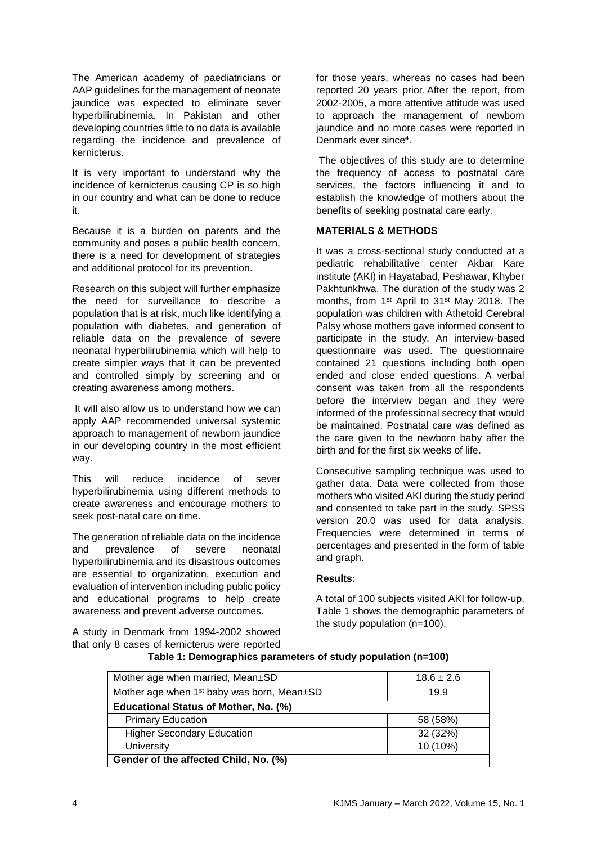The American academy of paediatricians or AAP guidelines for the management of neonate jaundice was expected to eliminate sever hyperbilirubinemia. In Pakistan and other developing countries little to no data is available regarding the incidence and prevalence of kernicterus.

It is very important to understand why the incidence of kernicterus causing CP is so high in our country and what can be done to reduce it.

Because it is a burden on parents and the community and poses a public health concern, there is a need for development of strategies and additional protocol for its prevention.

Research on this subject will further emphasize the need for surveillance to describe a population that is at risk, much like identifying a population with diabetes, and generation of reliable data on the prevalence of severe neonatal hyperbilirubinemia which will help to create simpler ways that it can be prevented and controlled simply by screening and or creating awareness among mothers.

It will also allow us to understand how we can apply AAP recommended universal systemic approach to management of newborn jaundice in our developing country in the most efficient way.

This will reduce incidence of sever hyperbilirubinemia using different methods to create awareness and encourage mothers to seek post-natal care on time.

The generation of reliable data on the incidence and prevalence of severe neonatal hyperbilirubinemia and its disastrous outcomes are essential to organization, execution and evaluation of intervention including public policy and educational programs to help create awareness and prevent adverse outcomes.

A study in Denmark from 1994-2002 showed that only 8 cases of kernicterus were reported for those years, whereas no cases had been reported 20 years prior. After the report, from 2002-2005, a more attentive attitude was used to approach the management of newborn jaundice and no more cases were reported in Denmark ever since<sup>4</sup> .

The objectives of this study are to determine the frequency of access to postnatal care services, the factors influencing it and to establish the knowledge of mothers about the benefits of seeking postnatal care early.

## **MATERIALS & METHODS**

It was a cross-sectional study conducted at a pediatric rehabilitative center Akbar Kare institute (AKI) in Hayatabad, Peshawar, Khyber Pakhtunkhwa. The duration of the study was 2 months, from 1<sup>st</sup> April to 31<sup>st</sup> May 2018. The population was children with Athetoid Cerebral Palsy whose mothers gave informed consent to participate in the study. An interview-based questionnaire was used. The questionnaire contained 21 questions including both open ended and close ended questions. A verbal consent was taken from all the respondents before the interview began and they were informed of the professional secrecy that would be maintained. Postnatal care was defined as the care given to the newborn baby after the birth and for the first six weeks of life.

Consecutive sampling technique was used to gather data. Data were collected from those mothers who visited AKI during the study period and consented to take part in the study. SPSS version 20.0 was used for data analysis. Frequencies were determined in terms of percentages and presented in the form of table and graph.

#### **Results:**

A total of 100 subjects visited AKI for follow-up. Table 1 shows the demographic parameters of the study population (n=100).

| Mother age when married, Mean±SD                       | $18.6 \pm 2.6$ |  |
|--------------------------------------------------------|----------------|--|
| Mother age when 1 <sup>st</sup> baby was born, Mean±SD | 19.9           |  |
| Educational Status of Mother, No. (%)                  |                |  |
| <b>Primary Education</b>                               | 58 (58%)       |  |
| <b>Higher Secondary Education</b>                      | 32 (32%)       |  |
| University                                             | 10 (10%)       |  |
| Gender of the affected Child, No. (%)                  |                |  |

#### **Table 1: Demographics parameters of study population (n=100)**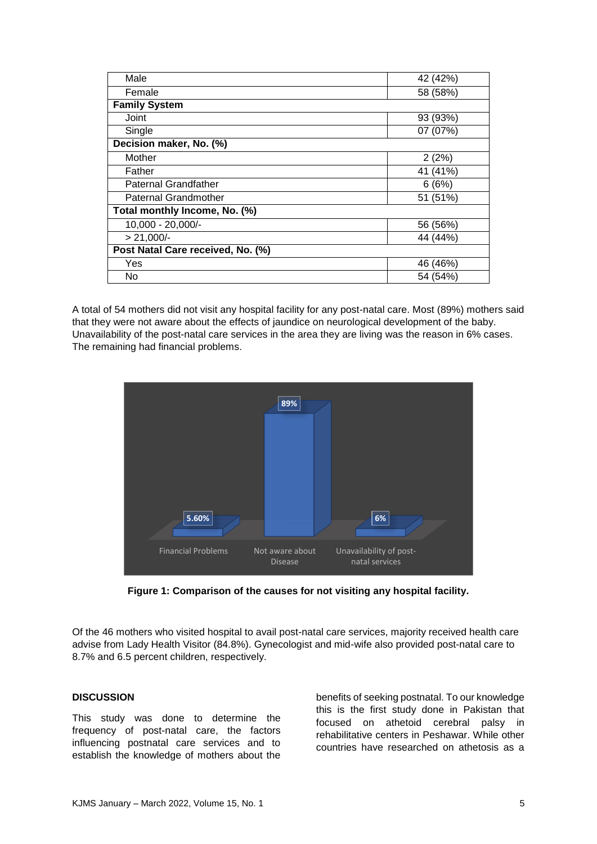| Male                              | 42 (42%) |
|-----------------------------------|----------|
| Female                            | 58 (58%) |
| <b>Family System</b>              |          |
| Joint                             | 93 (93%) |
| Single                            | 07 (07%) |
| Decision maker, No. (%)           |          |
| Mother                            | 2(2%)    |
| Father                            | 41 (41%) |
| <b>Paternal Grandfather</b>       | 6(6%)    |
| <b>Paternal Grandmother</b>       | 51 (51%) |
| Total monthly Income, No. (%)     |          |
| 10,000 - 20,000/-                 | 56 (56%) |
| $> 21,000/-$                      | 44 (44%) |
| Post Natal Care received, No. (%) |          |
| Yes                               | 46 (46%) |
| No                                | 54 (54%) |

A total of 54 mothers did not visit any hospital facility for any post-natal care. Most (89%) mothers said that they were not aware about the effects of jaundice on neurological development of the baby. Unavailability of the post-natal care services in the area they are living was the reason in 6% cases. The remaining had financial problems.



**Figure 1: Comparison of the causes for not visiting any hospital facility.**

Of the 46 mothers who visited hospital to avail post-natal care services, majority received health care advise from Lady Health Visitor (84.8%). Gynecologist and mid-wife also provided post-natal care to 8.7% and 6.5 percent children, respectively.

#### **DISCUSSION**

This study was done to determine the frequency of post-natal care, the factors influencing postnatal care services and to establish the knowledge of mothers about the

benefits of seeking postnatal. To our knowledge this is the first study done in Pakistan that focused on athetoid cerebral palsy in rehabilitative centers in Peshawar. While other countries have researched on athetosis as a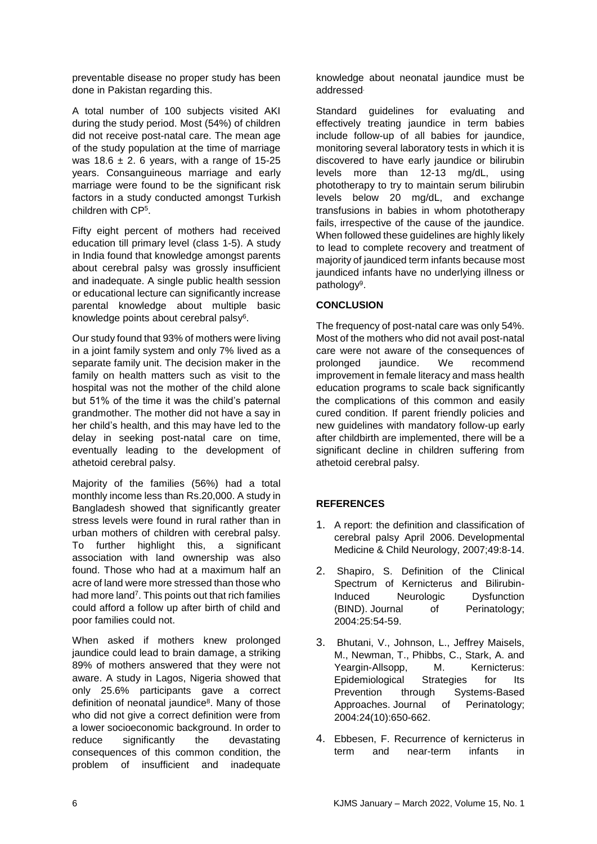preventable disease no proper study has been done in Pakistan regarding this.

A total number of 100 subjects visited AKI during the study period. Most (54%) of children did not receive post-natal care. The mean age of the study population at the time of marriage was  $18.6 \pm 2.6$  years, with a range of 15-25 years. Consanguineous marriage and early marriage were found to be the significant risk factors in a study conducted amongst Turkish children with CP<sup>5</sup> .

Fifty eight percent of mothers had received education till primary level (class 1-5). A study in India found that knowledge amongst parents about cerebral palsy was grossly insufficient and inadequate. A single public health session or educational lecture can significantly increase parental knowledge about multiple basic knowledge points about cerebral palsy<sup>6</sup>.

Our study found that 93% of mothers were living in a joint family system and only 7% lived as a separate family unit. The decision maker in the family on health matters such as visit to the hospital was not the mother of the child alone but 51% of the time it was the child's paternal grandmother. The mother did not have a say in her child's health, and this may have led to the delay in seeking post-natal care on time, eventually leading to the development of athetoid cerebral palsy.

Majority of the families (56%) had a total monthly income less than Rs.20,000. A study in Bangladesh showed that significantly greater stress levels were found in rural rather than in urban mothers of children with cerebral palsy. To further highlight this, a significant association with land ownership was also found. Those who had at a maximum half an acre of land were more stressed than those who had more land<sup>7</sup>. This points out that rich families could afford a follow up after birth of child and poor families could not.

When asked if mothers knew prolonged jaundice could lead to brain damage, a striking 89% of mothers answered that they were not aware. A study in Lagos, Nigeria showed that only 25.6% participants gave a correct definition of neonatal jaundice<sup>8</sup>. Many of those who did not give a correct definition were from a lower socioeconomic background. In order to reduce significantly the devastating consequences of this common condition, the problem of insufficient and inadequate

knowledge about neonatal jaundice must be addressed .

Standard guidelines for evaluating and effectively treating jaundice in term babies include follow-up of all babies for jaundice, monitoring several laboratory tests in which it is discovered to have early jaundice or bilirubin levels more than 12-13 mg/dL, using phototherapy to try to maintain serum bilirubin levels below 20 mg/dL, and exchange transfusions in babies in whom phototherapy fails, irrespective of the cause of the jaundice. When followed these guidelines are highly likely to lead to complete recovery and treatment of majority of jaundiced term infants because most jaundiced infants have no underlying illness or pathology<sup>9</sup>.

# **CONCLUSION**

The frequency of post-natal care was only 54%. Most of the mothers who did not avail post-natal care were not aware of the consequences of prolonged jaundice. We recommend improvement in female literacy and mass health education programs to scale back significantly the complications of this common and easily cured condition. If parent friendly policies and new guidelines with mandatory follow-up early after childbirth are implemented, there will be a significant decline in children suffering from athetoid cerebral palsy.

# **REFERENCES**

- 1. A report: the definition and classification of cerebral palsy April 2006. Developmental Medicine & Child Neurology, 2007;49:8-14.
- 2. Shapiro, S. Definition of the Clinical Spectrum of Kernicterus and Bilirubin-Induced Neurologic Dysfunction (BIND). Journal of Perinatology; 2004:25:54-59.
- 3. Bhutani, V., Johnson, L., Jeffrey Maisels, M., Newman, T., Phibbs, C., Stark, A. and Yeargin-Allsopp, M. Kernicterus: Epidemiological Strategies for Its Prevention through Systems-Based Approaches. Journal of Perinatology; 2004:24(10):650-662.
- 4. Ebbesen, F. Recurrence of kernicterus in term and near-term infants in